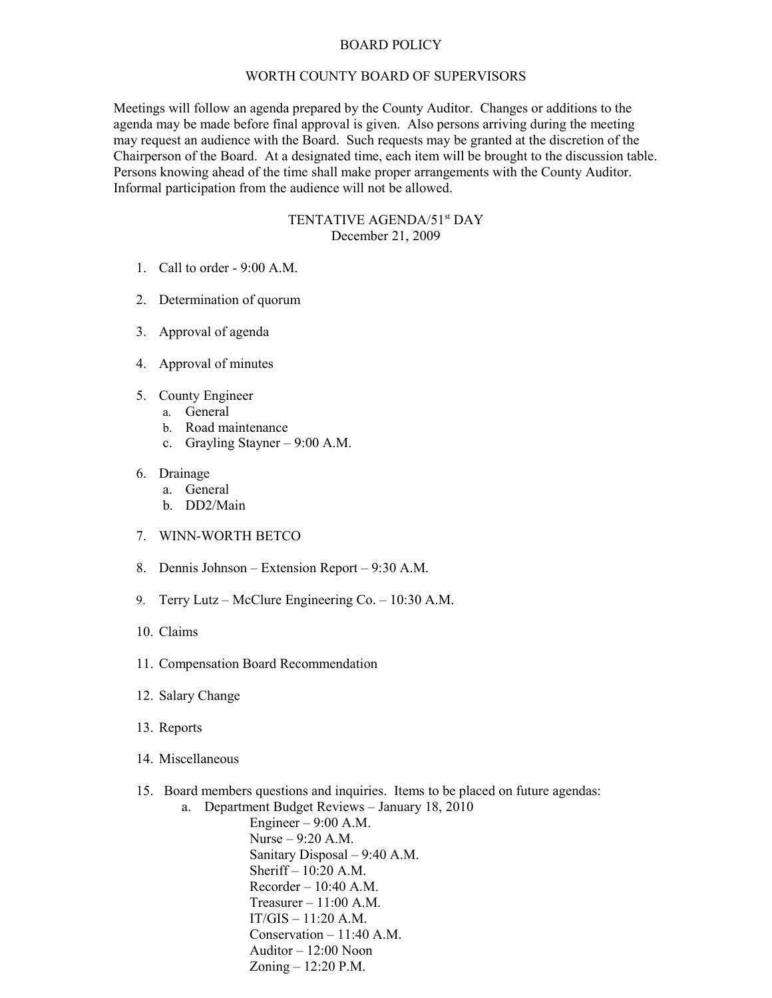## BOARD POLICY

## WORTH COUNTY BOARD OF SUPERVISORS

Meetings will follow an agenda prepared by the County Auditor. Changes or additions to the agenda may be made before final approval is given. Also persons arriving during the meeting may request an audience with the Board. Such requests may be granted at the discretion of the Chairperson of the Board. At a designated time, each item will be brought to the discussion table. Persons knowing ahead of the time shall make proper arrangements with the County Auditor. Informal participation from the audience will not be allowed.

## TENTATIVE AGENDA/51<sup>st</sup> DAY December 21, 2009

- 1. Call to order 9:00 A.M.
- 2. Determination of quorum
- 3. Approval of agenda
- 4. Approval of minutes
- 5. County Engineer
	- a. General
	- b. Road maintenance
	- c. Grayling Stayner 9:00 A.M.
- 6. Drainage
	- a. General
	- b. DD2/Main
- 7. WINN-WORTH BETCO
- 8. Dennis Johnson Extension Report 9:30 A.M.
- 9. Terry Lutz McClure Engineering Co. 10:30 A.M.
- 10. Claims
- 11. Compensation Board Recommendation
- 12. Salary Change
- 13. Reports
- 14. Miscellaneous
- 15. Board members questions and inquiries. Items to be placed on future agendas:

a. Department Budget Reviews – January 18, 2010 Engineer – 9:00 A.M. Nurse – 9:20 A.M. Sanitary Disposal – 9:40 A.M. Sheriff –  $10:20$  A.M. Recorder – 10:40 A.M. Treasurer  $-11:00$  A.M.  $IT/GIS - 11:20 A.M.$ Conservation – 11:40 A.M. Auditor – 12:00 Noon Zoning – 12:20 P.M.